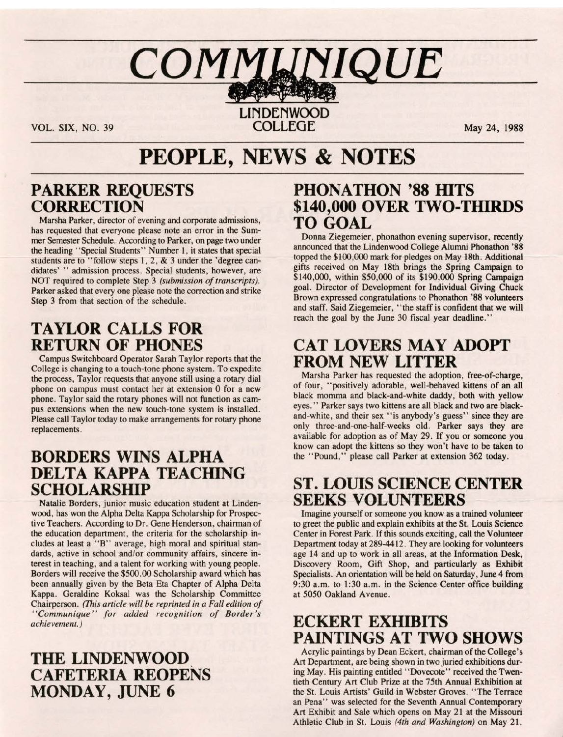# $COMM$ *LINIQUE*

**LIN DENWOOD**  VOL. SIX, NO. 39 **COLLEGE** May 24, 1988

## **PEOPLE, NEWS & NOTES**

#### **PARKER REQUESTS CORRECTION**

Marsha Parker, director of evening and corporate admissions, has requested that everyone please note an error in the Summer Semester Schedule. According to Parker, on page two under the heading "Special Students" Number 1, it states that special students are to "follow steps 1, 2, & 3 under the 'degree candidates' " admission process. Special students, however, are NOT required to complete Step 3 *(submission of transcripts).*  Parker asked that every one please note the correction and strike Step 3 from that section of the schedule.

#### **TAYLOR CALLS FOR RETURN OF PHONES**

Campus Switchboard Operator Sarah Taylor reports that the College is changing to a touch-tone phone system. To expedite the process, Taylor requests that anyone still using a rotary dial phone on campus must contact her at extension O for a new phone. Taylor said the rotary phones will not function as campus extensions when the new touch-tone system is installed. Please call Taylor today to make arrangements for rotary phone replacements.

#### **BORDERS WINS ALPHA DELTA KAPPA TEACHING SCHOLARSHIP**

Natalie Borders, junior music education student at Lindenwood, has won the Alpha Delta Kappa Scholarship for Prospective Teachers. According to Dr. Gene Henderson, chairman of the education department, the criteria for the scholarship includes at least a "B" average, high moral and spiritual standards, active in school and/or community affairs, sincere interest in teaching, and a talent for working with young people. Borders will receive the \$500.00 Scholarship award which has been annually given by the Beta Eta Chapter of Alpha Delta Kappa. Geraldine Koksal was the Scholarship Committee Chairperson. *(This article will be reprinted in a Fall edition of " Communique " for added recognition of Border's achievement.)* 

#### **THE LINDENWOOD CAFETERIA REOPENS MONDAY, JUNE 6**

#### **PHONATHON '88 HITS \$140,000 OVER TWO-THIRDS TO GOAL**

Donna Ziegemeier, phonathon evening supervisor, recently announced that the Lindenwood College Alumni Phonathon '88 topped the \$100,000 mark for pledges on May 18th. Additional gifts received on May 18th brings the Spring Campaign to \$140,000, within \$50,000 of its \$190,000 Spring Campaign goal. Director of Development for Individual Giving Chuck Brown expressed congratulations to Phonathon '88 volunteers and staff. Said Ziegemeier, "the staff is confident that we **will**  reach the goal by the June 30 fiscal year deadline."

#### **CAT LOVERS MAY ADOPT FROM NEW LITTER**

Marsha Parker has requested the adoption, free-of-charge, of four, "positively adorable, well-behaved kittens of an all black momma and black-and-white daddy, both with yellow eyes." Parker says two kittens are all black and two are blackand-white, and their sex "is anybody's guess" since they are only three-and-one-half-weeks old. Parker says they are available for adoption as of May 29. If you or someone you know can adopt the kittens so they won't have to be taken to the "Pound," please call Parker at extension 362 today.

#### **ST. LOUIS SCIENCE CENTER SEEKS VOLUNTEERS**

Imagine yourself or someone you know as a trained volunteer to greet the public and explain exhibits at the St. Louis Science Center in Forest Park. If this sounds exciting, call the Volunteer Department today at 289-4412. They are looking for volunteers age 14 and up to work in all areas, at the Information Desk, Discovery Room, Gift Shop, and particularly as Exhibit Specialists. An orientation will be held on Saturday, June 4 from 9:30 a.m. to 1:30 a.m. in the Science Center office building at 5050 Oakland Avenue.

#### **ECKERT EXHIBITS PAINTINGS AT TWO SHOWS**

Acrylic paintings by Dean Eckert, chairman of the College's Art Department, are being shown in two juried exhibitions during May. His painting entitled "Dovecote" received the Twentieth Century Art Club Prize at the 75th Annual Exhibition at the St. Louis Artists' Guild in Webster Groves. "The Terrace an Pena'' was selected for the Seventh Annual Contemporary Art Exhibit and Sale which opens on May 21 at the Missouri Athletic Club in St. Louis *(4th and Washington)* on May 21.